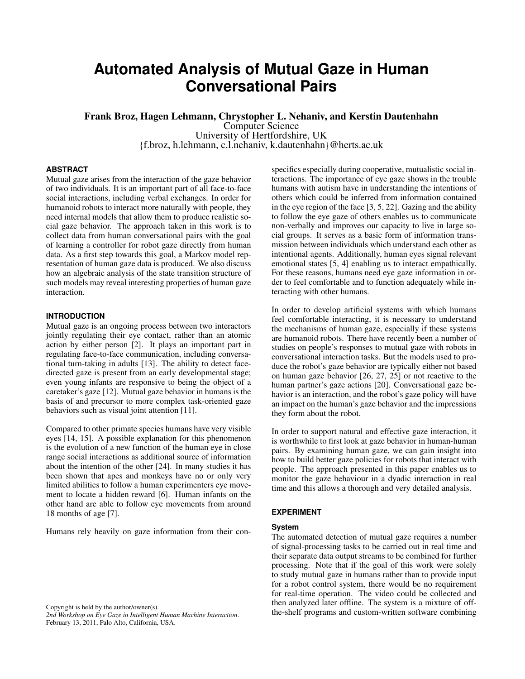# **Automated Analysis of Mutual Gaze in Human Conversational Pairs**

Frank Broz, Hagen Lehmann, Chrystopher L. Nehaniv, and Kerstin Dautenhahn Computer Science University of Hertfordshire, UK {f.broz, h.lehmann, c.l.nehaniv, k.dautenhahn}@herts.ac.uk

## **ABSTRACT**

Mutual gaze arises from the interaction of the gaze behavior of two individuals. It is an important part of all face-to-face social interactions, including verbal exchanges. In order for humanoid robots to interact more naturally with people, they need internal models that allow them to produce realistic social gaze behavior. The approach taken in this work is to collect data from human conversational pairs with the goal of learning a controller for robot gaze directly from human data. As a first step towards this goal, a Markov model representation of human gaze data is produced. We also discuss how an algebraic analysis of the state transition structure of such models may reveal interesting properties of human gaze interaction.

# **INTRODUCTION**

Mutual gaze is an ongoing process between two interactors jointly regulating their eye contact, rather than an atomic action by either person [\[2\]](#page-3-0). It plays an important part in regulating face-to-face communication, including conversational turn-taking in adults [\[13\]](#page-3-1). The ability to detect facedirected gaze is present from an early developmental stage; even young infants are responsive to being the object of a caretaker's gaze [\[12\]](#page-3-2). Mutual gaze behavior in humans is the basis of and precursor to more complex task-oriented gaze behaviors such as visual joint attention [\[11\]](#page-3-3).

Compared to other primate species humans have very visible eyes [\[14,](#page-3-4) [15\]](#page-3-5). A possible explanation for this phenomenon is the evolution of a new function of the human eye in close range social interactions as additional source of information about the intention of the other [\[24\]](#page-3-6). In many studies it has been shown that apes and monkeys have no or only very limited abilities to follow a human experimenters eye movement to locate a hidden reward [\[6\]](#page-3-7). Human infants on the other hand are able to follow eye movements from around 18 months of age [\[7\]](#page-3-8).

Humans rely heavily on gaze information from their con-

Copyright is held by the author/owner(s). *2nd Workshop on Eye Gaze in Intelligent Human Machine Interaction*. February 13, 2011, Palo Alto, California, USA.

specifics especially during cooperative, mutualistic social interactions. The importance of eye gaze shows in the trouble humans with autism have in understanding the intentions of others which could be inferred from information contained in the eye region of the face [\[3,](#page-3-9) [5,](#page-3-10) [22\]](#page-3-11). Gazing and the ability to follow the eye gaze of others enables us to communicate non-verbally and improves our capacity to live in large social groups. It serves as a basic form of information transmission between individuals which understand each other as intentional agents. Additionally, human eyes signal relevant emotional states [\[5,](#page-3-10) [4\]](#page-3-12) enabling us to interact empathically. For these reasons, humans need eye gaze information in order to feel comfortable and to function adequately while interacting with other humans.

In order to develop artificial systems with which humans feel comfortable interacting, it is necessary to understand the mechanisms of human gaze, especially if these systems are humanoid robots. There have recently been a number of studies on people's responses to mutual gaze with robots in conversational interaction tasks. But the models used to produce the robot's gaze behavior are typically either not based on human gaze behavior [\[26,](#page-3-13) [27,](#page-3-14) [25\]](#page-3-15) or not reactive to the human partner's gaze actions [\[20\]](#page-3-16). Conversational gaze behavior is an interaction, and the robot's gaze policy will have an impact on the human's gaze behavior and the impressions they form about the robot.

In order to support natural and effective gaze interaction, it is worthwhile to first look at gaze behavior in human-human pairs. By examining human gaze, we can gain insight into how to build better gaze policies for robots that interact with people. The approach presented in this paper enables us to monitor the gaze behaviour in a dyadic interaction in real time and this allows a thorough and very detailed analysis.

#### **EXPERIMENT**

#### **System**

The automated detection of mutual gaze requires a number of signal-processing tasks to be carried out in real time and their separate data output streams to be combined for further processing. Note that if the goal of this work were solely to study mutual gaze in humans rather than to provide input for a robot control system, there would be no requirement for real-time operation. The video could be collected and then analyzed later offline. The system is a mixture of offthe-shelf programs and custom-written software combining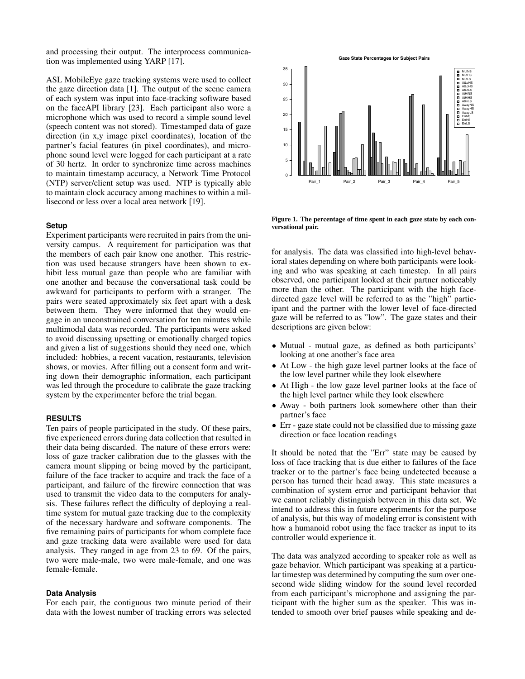and processing their output. The interprocess communication was implemented using YARP [\[17\]](#page-3-17).

ASL MobileEye gaze tracking systems were used to collect the gaze direction data [\[1\]](#page-3-18). The output of the scene camera of each system was input into face-tracking software based on the faceAPI library [\[23\]](#page-3-19). Each participant also wore a microphone which was used to record a simple sound level (speech content was not stored). Timestamped data of gaze direction (in x,y image pixel coordinates), location of the partner's facial features (in pixel coordinates), and microphone sound level were logged for each participant at a rate of 30 hertz. In order to synchronize time across machines to maintain timestamp accuracy, a Network Time Protocol (NTP) server/client setup was used. NTP is typically able to maintain clock accuracy among machines to within a millisecond or less over a local area network [\[19\]](#page-3-20).

### **Setup**

Experiment participants were recruited in pairs from the university campus. A requirement for participation was that the members of each pair know one another. This restriction was used because strangers have been shown to exhibit less mutual gaze than people who are familiar with one another and because the conversational task could be awkward for participants to perform with a stranger. The pairs were seated approximately six feet apart with a desk between them. They were informed that they would engage in an unconstrained conversation for ten minutes while multimodal data was recorded. The participants were asked to avoid discussing upsetting or emotionally charged topics and given a list of suggestions should they need one, which included: hobbies, a recent vacation, restaurants, television shows, or movies. After filling out a consent form and writing down their demographic information, each participant was led through the procedure to calibrate the gaze tracking system by the experimenter before the trial began.

#### **RESULTS**

Ten pairs of people participated in the study. Of these pairs, five experienced errors during data collection that resulted in their data being discarded. The nature of these errors were: loss of gaze tracker calibration due to the glasses with the camera mount slipping or being moved by the participant, failure of the face tracker to acquire and track the face of a participant, and failure of the firewire connection that was used to transmit the video data to the computers for analysis. These failures reflect the difficulty of deploying a realtime system for mutual gaze tracking due to the complexity of the necessary hardware and software components. The five remaining pairs of participants for whom complete face and gaze tracking data were available were used for data analysis. They ranged in age from 23 to 69. Of the pairs, two were male-male, two were male-female, and one was female-female.

#### **Data Analysis**

For each pair, the contiguous two minute period of their data with the lowest number of tracking errors was selected



<span id="page-1-0"></span>Figure 1. The percentage of time spent in each gaze state by each conversational pair.

for analysis. The data was classified into high-level behavioral states depending on where both participants were looking and who was speaking at each timestep. In all pairs observed, one participant looked at their partner noticeably more than the other. The participant with the high facedirected gaze level will be referred to as the "high" participant and the partner with the lower level of face-directed gaze will be referred to as "low". The gaze states and their descriptions are given below:

- Mutual mutual gaze, as defined as both participants' looking at one another's face area
- At Low the high gaze level partner looks at the face of the low level partner while they look elsewhere
- At High the low gaze level partner looks at the face of the high level partner while they look elsewhere
- Away both partners look somewhere other than their partner's face
- Err gaze state could not be classified due to missing gaze direction or face location readings

It should be noted that the "Err" state may be caused by loss of face tracking that is due either to failures of the face tracker or to the partner's face being undetected because a person has turned their head away. This state measures a combination of system error and participant behavior that we cannot reliably distinguish between in this data set. We intend to address this in future experiments for the purpose of analysis, but this way of modeling error is consistent with how a humanoid robot using the face tracker as input to its controller would experience it.

The data was analyzed according to speaker role as well as gaze behavior. Which participant was speaking at a particular timestep was determined by computing the sum over onesecond wide sliding window for the sound level recorded from each participant's microphone and assigning the participant with the higher sum as the speaker. This was intended to smooth over brief pauses while speaking and de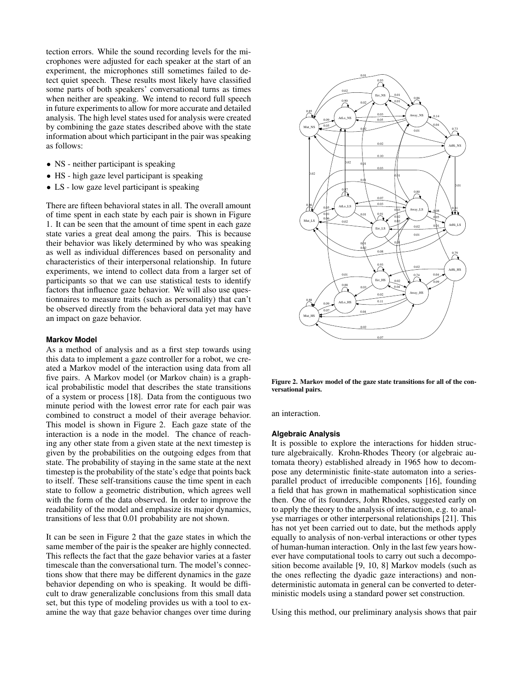tection errors. While the sound recording levels for the microphones were adjusted for each speaker at the start of an experiment, the microphones still sometimes failed to detect quiet speech. These results most likely have classified some parts of both speakers' conversational turns as times when neither are speaking. We intend to record full speech in future experiments to allow for more accurate and detailed analysis. The high level states used for analysis were created by combining the gaze states described above with the state information about which participant in the pair was speaking as follows:

- NS neither participant is speaking
- HS high gaze level participant is speaking
- LS low gaze level participant is speaking

There are fifteen behavioral states in all. The overall amount of time spent in each state by each pair is shown in Figure [1.](#page-1-0) It can be seen that the amount of time spent in each gaze state varies a great deal among the pairs. This is because their behavior was likely determined by who was speaking as well as individual differences based on personality and characteristics of their interpersonal relationship. In future experiments, we intend to collect data from a larger set of participants so that we can use statistical tests to identify factors that influence gaze behavior. We will also use questionnaires to measure traits (such as personality) that can't be observed directly from the behavioral data yet may have an impact on gaze behavior.

### **Markov Model**

As a method of analysis and as a first step towards using this data to implement a gaze controller for a robot, we created a Markov model of the interaction using data from all five pairs. A Markov model (or Markov chain) is a graphical probabilistic model that describes the state transitions of a system or process [\[18\]](#page-3-21). Data from the contiguous two minute period with the lowest error rate for each pair was combined to construct a model of their average behavior. This model is shown in Figure [2.](#page-2-0) Each gaze state of the interaction is a node in the model. The chance of reaching any other state from a given state at the next timestep is given by the probabilities on the outgoing edges from that state. The probability of staying in the same state at the next timestep is the probability of the state's edge that points back to itself. These self-transitions cause the time spent in each state to follow a geometric distribution, which agrees well with the form of the data observed. In order to improve the readability of the model and emphasize its major dynamics, transitions of less that 0.01 probability are not shown.

It can be seen in Figure [2](#page-2-0) that the gaze states in which the same member of the pair is the speaker are highly connected. This reflects the fact that the gaze behavior varies at a faster timescale than the conversational turn. The model's connections show that there may be different dynamics in the gaze behavior depending on who is speaking. It would be difficult to draw generalizable conclusions from this small data set, but this type of modeling provides us with a tool to examine the way that gaze behavior changes over time during



<span id="page-2-0"></span>Figure 2. Markov model of the gaze state transitions for all of the conversational pairs.

an interaction.

#### **Algebraic Analysis**

It is possible to explore the interactions for hidden structure algebraically. Krohn-Rhodes Theory (or algebraic automata theory) established already in 1965 how to decompose any deterministic finite-state automaton into a seriesparallel product of irreducible components [\[16\]](#page-3-22), founding a field that has grown in mathematical sophistication since then. One of its founders, John Rhodes, suggested early on to apply the theory to the analysis of interaction, e.g. to analyse marriages or other interpersonal relationships [\[21\]](#page-3-23). This has not yet been carried out to date, but the methods apply equally to analysis of non-verbal interactions or other types of human-human interaction. Only in the last few years however have computational tools to carry out such a decomposition become available [\[9,](#page-3-24) [10,](#page-3-25) [8\]](#page-3-26) Markov models (such as the ones reflecting the dyadic gaze interactions) and nondeterministic automata in general can be converted to deterministic models using a standard power set construction.

Using this method, our preliminary analysis shows that pair